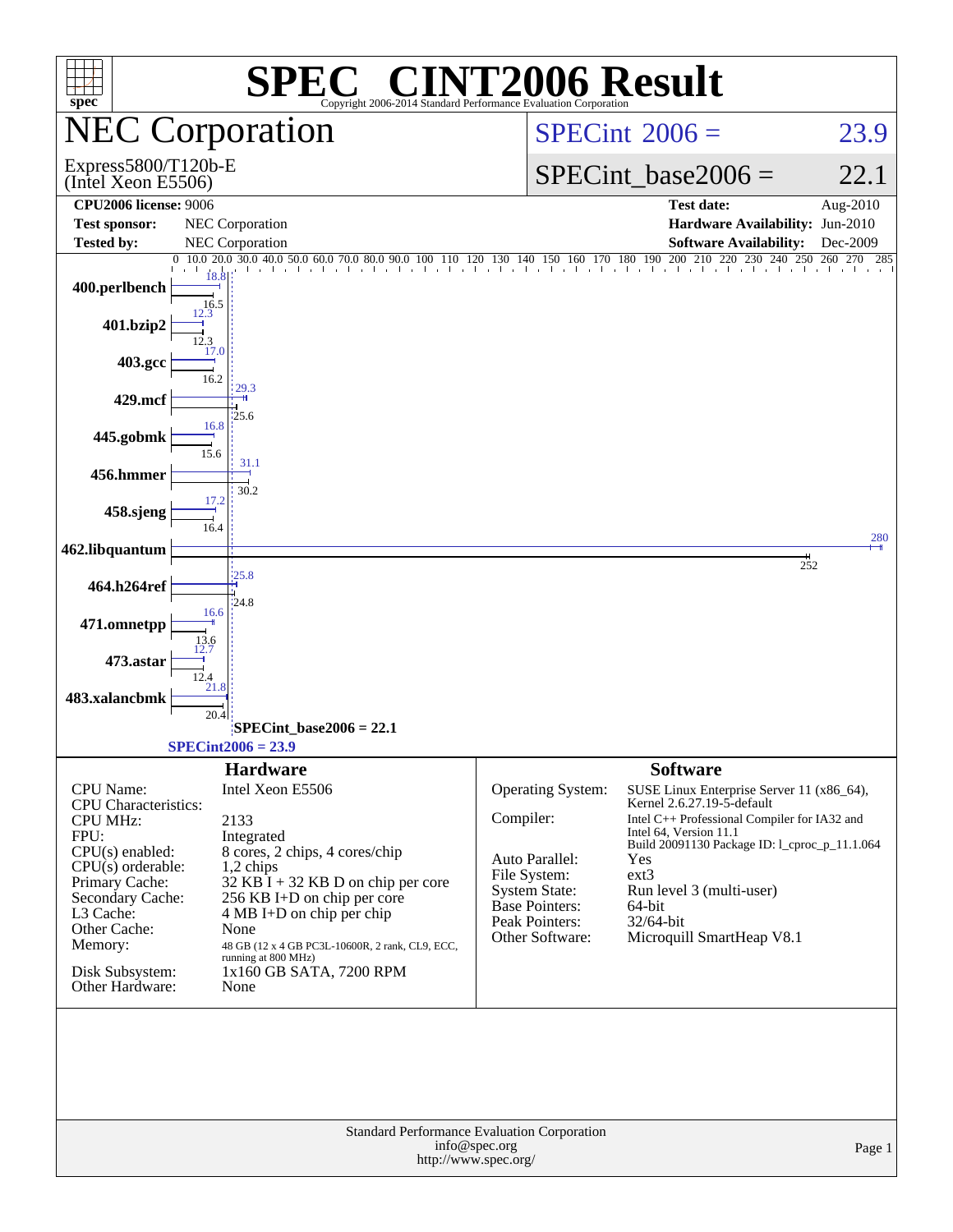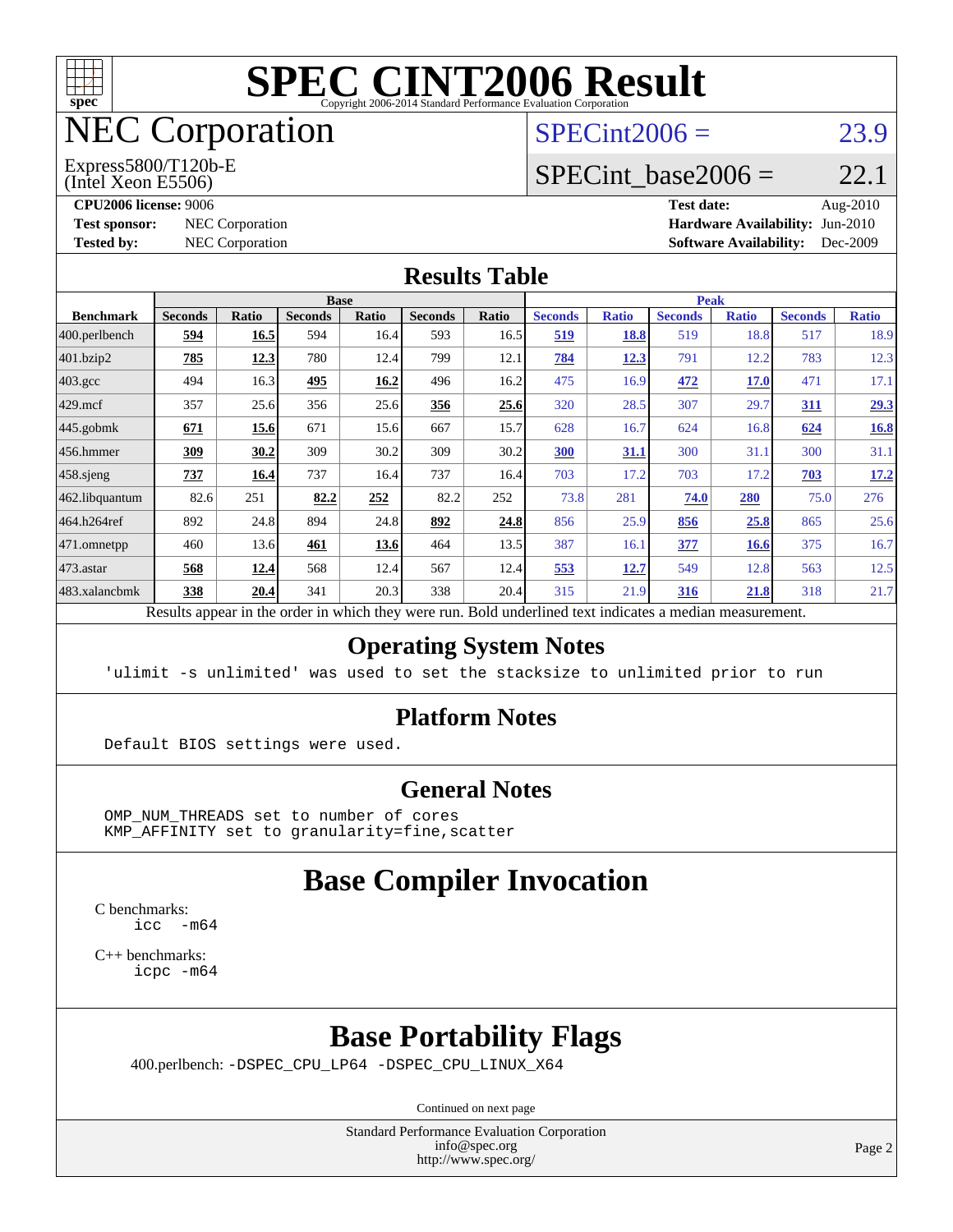

# NEC Corporation

#### (Intel Xeon E5506) Express5800/T120b-E

 $SPECint2006 = 23.9$  $SPECint2006 = 23.9$ 

#### SPECint base2006 =  $22.1$

**[CPU2006 license:](http://www.spec.org/auto/cpu2006/Docs/result-fields.html#CPU2006license)** 9006 **[Test date:](http://www.spec.org/auto/cpu2006/Docs/result-fields.html#Testdate)** Aug-2010 **[Test sponsor:](http://www.spec.org/auto/cpu2006/Docs/result-fields.html#Testsponsor)** NEC Corporation **[Hardware Availability:](http://www.spec.org/auto/cpu2006/Docs/result-fields.html#HardwareAvailability)** Jun-2010 **[Tested by:](http://www.spec.org/auto/cpu2006/Docs/result-fields.html#Testedby)** NEC Corporation **[Software Availability:](http://www.spec.org/auto/cpu2006/Docs/result-fields.html#SoftwareAvailability)** Dec-2009

#### **[Results Table](http://www.spec.org/auto/cpu2006/Docs/result-fields.html#ResultsTable)**

|                    | <b>Base</b>                                                                                              |              |                |              |                |       | <b>Peak</b>    |              |                |              |                |              |
|--------------------|----------------------------------------------------------------------------------------------------------|--------------|----------------|--------------|----------------|-------|----------------|--------------|----------------|--------------|----------------|--------------|
| <b>Benchmark</b>   | <b>Seconds</b>                                                                                           | <b>Ratio</b> | <b>Seconds</b> | <b>Ratio</b> | <b>Seconds</b> | Ratio | <b>Seconds</b> | <b>Ratio</b> | <b>Seconds</b> | <b>Ratio</b> | <b>Seconds</b> | <b>Ratio</b> |
| 400.perlbench      | 594                                                                                                      | 16.5         | 594            | 16.4         | 593            | 16.5  | <u>519</u>     | 18.8         | 519            | 18.8         | 517            | 18.9         |
| 401.bzip2          | 785                                                                                                      | 12.3         | 780            | 12.4         | 799            | 12.1  | 784            | 12.3         | 791            | 12.2         | 783            | 12.3         |
| $403.\mathrm{gcc}$ | 494                                                                                                      | 16.3         | 495            | 16.2         | 496            | 16.2  | 475            | 16.9         | 472            | <b>17.0</b>  | 471            | 17.1         |
| $429$ .mcf         | 357                                                                                                      | 25.6         | 356            | 25.6         | <u>356</u>     | 25.6  | 320            | 28.5         | 307            | 29.7         | <u>311</u>     | 29.3         |
| $445$ .gobmk       | 671                                                                                                      | 15.6         | 671            | 15.6         | 667            | 15.7  | 628            | 16.7         | 624            | 16.8         | 624            | <b>16.8</b>  |
| $456.$ hmmer       | 309                                                                                                      | 30.2         | 309            | 30.2         | 309            | 30.2  | 300            | 31.1         | 300            | 31.1         | 300            | 31.1         |
| $458$ .sjeng       | 737                                                                                                      | 16.4         | 737            | 16.4         | 737            | 16.4  | 703            | 17.2         | 703            | 17.2         | 703            | 17.2         |
| 462.libquantum     | 82.6                                                                                                     | 251          | 82.2           | 252          | 82.2           | 252   | 73.8           | 281          | 74.0           | 280          | 75.0           | 276          |
| 464.h264ref        | 892                                                                                                      | 24.8         | 894            | 24.8         | 892            | 24.8  | 856            | 25.9         | 856            | 25.8         | 865            | 25.6         |
| 471.omnetpp        | 460                                                                                                      | 13.6         | 461            | 13.6         | 464            | 13.5  | 387            | 16.1         | 377            | 16.6         | 375            | 16.7         |
| 473.astar          | 568                                                                                                      | 12.4         | 568            | 12.4         | 567            | 12.4  | 553            | 12.7         | 549            | 12.8         | 563            | 12.5         |
| 483.xalancbmk      | 338                                                                                                      | 20.4         | 341            | 20.3         | 338            | 20.4  | 315            | 21.9         | 316            | 21.8         | 318            | 21.7         |
|                    | Results appear in the order in which they were run. Bold underlined text indicates a median measurement. |              |                |              |                |       |                |              |                |              |                |              |

#### **[Operating System Notes](http://www.spec.org/auto/cpu2006/Docs/result-fields.html#OperatingSystemNotes)**

'ulimit -s unlimited' was used to set the stacksize to unlimited prior to run

#### **[Platform Notes](http://www.spec.org/auto/cpu2006/Docs/result-fields.html#PlatformNotes)**

Default BIOS settings were used.

#### **[General Notes](http://www.spec.org/auto/cpu2006/Docs/result-fields.html#GeneralNotes)**

 OMP\_NUM\_THREADS set to number of cores KMP\_AFFINITY set to granularity=fine,scatter

### **[Base Compiler Invocation](http://www.spec.org/auto/cpu2006/Docs/result-fields.html#BaseCompilerInvocation)**

[C benchmarks](http://www.spec.org/auto/cpu2006/Docs/result-fields.html#Cbenchmarks):  $\text{icc}$  -m64

[C++ benchmarks:](http://www.spec.org/auto/cpu2006/Docs/result-fields.html#CXXbenchmarks) [icpc -m64](http://www.spec.org/cpu2006/results/res2010q3/cpu2006-20100829-13104.flags.html#user_CXXbase_intel_icpc_64bit_fc66a5337ce925472a5c54ad6a0de310)

#### **[Base Portability Flags](http://www.spec.org/auto/cpu2006/Docs/result-fields.html#BasePortabilityFlags)**

400.perlbench: [-DSPEC\\_CPU\\_LP64](http://www.spec.org/cpu2006/results/res2010q3/cpu2006-20100829-13104.flags.html#b400.perlbench_basePORTABILITY_DSPEC_CPU_LP64) [-DSPEC\\_CPU\\_LINUX\\_X64](http://www.spec.org/cpu2006/results/res2010q3/cpu2006-20100829-13104.flags.html#b400.perlbench_baseCPORTABILITY_DSPEC_CPU_LINUX_X64)

Continued on next page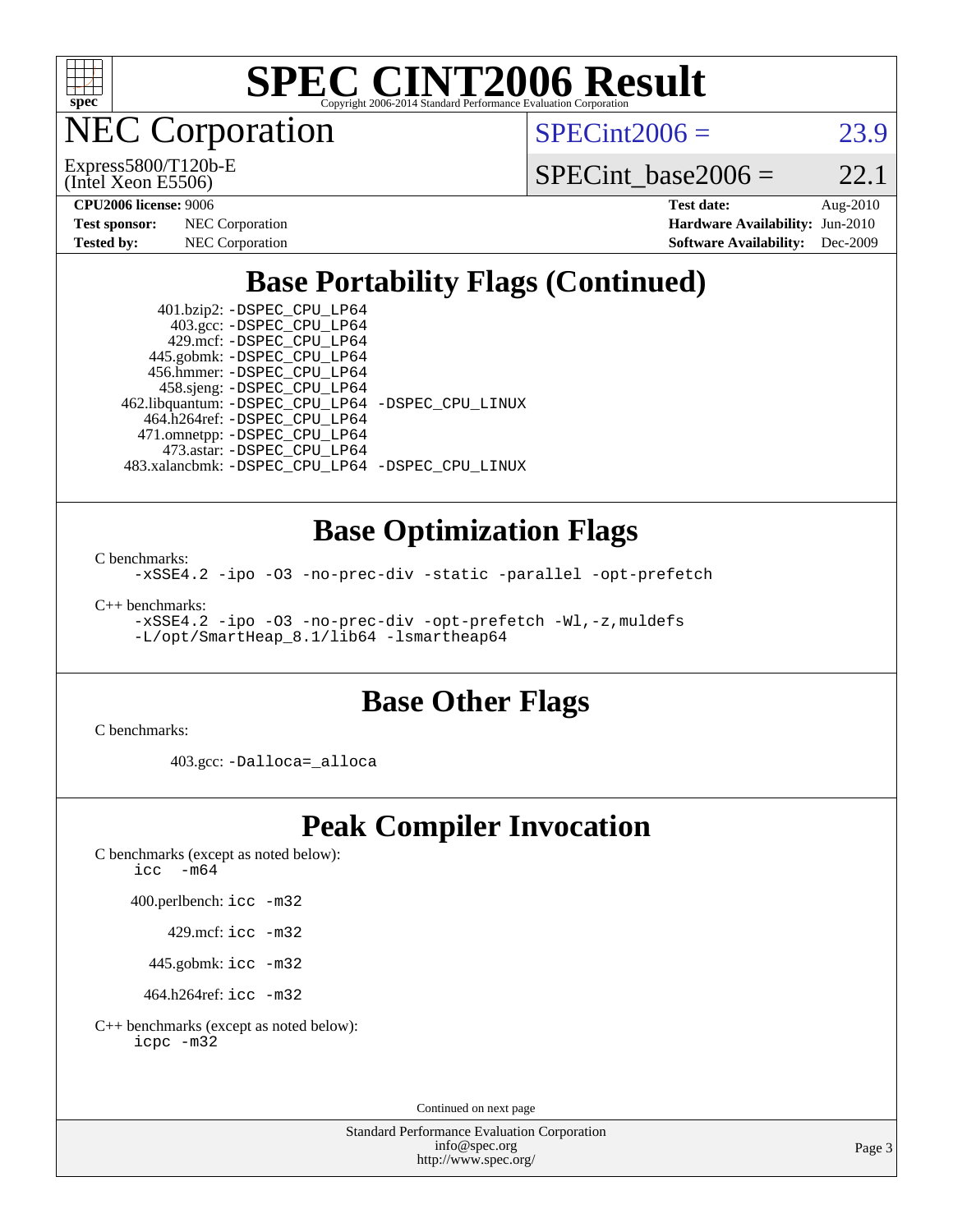

NEC Corporation

(Intel Xeon E5506) Express5800/T120b-E  $SPECint2006 = 23.9$  $SPECint2006 = 23.9$ 

SPECint base2006 =  $22.1$ 

| <b>Test sponsor:</b> | <b>NEC</b> Corporation |
|----------------------|------------------------|
| <b>Tested by:</b>    | <b>NEC</b> Corporation |

**[CPU2006 license:](http://www.spec.org/auto/cpu2006/Docs/result-fields.html#CPU2006license)** 9006 **[Test date:](http://www.spec.org/auto/cpu2006/Docs/result-fields.html#Testdate)** Aug-2010 **[Hardware Availability:](http://www.spec.org/auto/cpu2006/Docs/result-fields.html#HardwareAvailability)** Jun-2010 **[Software Availability:](http://www.spec.org/auto/cpu2006/Docs/result-fields.html#SoftwareAvailability)** Dec-2009

### **[Base Portability Flags \(Continued\)](http://www.spec.org/auto/cpu2006/Docs/result-fields.html#BasePortabilityFlags)**

 401.bzip2: [-DSPEC\\_CPU\\_LP64](http://www.spec.org/cpu2006/results/res2010q3/cpu2006-20100829-13104.flags.html#suite_basePORTABILITY401_bzip2_DSPEC_CPU_LP64) 403.gcc: [-DSPEC\\_CPU\\_LP64](http://www.spec.org/cpu2006/results/res2010q3/cpu2006-20100829-13104.flags.html#suite_basePORTABILITY403_gcc_DSPEC_CPU_LP64) 429.mcf: [-DSPEC\\_CPU\\_LP64](http://www.spec.org/cpu2006/results/res2010q3/cpu2006-20100829-13104.flags.html#suite_basePORTABILITY429_mcf_DSPEC_CPU_LP64) 445.gobmk: [-DSPEC\\_CPU\\_LP64](http://www.spec.org/cpu2006/results/res2010q3/cpu2006-20100829-13104.flags.html#suite_basePORTABILITY445_gobmk_DSPEC_CPU_LP64) 456.hmmer: [-DSPEC\\_CPU\\_LP64](http://www.spec.org/cpu2006/results/res2010q3/cpu2006-20100829-13104.flags.html#suite_basePORTABILITY456_hmmer_DSPEC_CPU_LP64) 458.sjeng: [-DSPEC\\_CPU\\_LP64](http://www.spec.org/cpu2006/results/res2010q3/cpu2006-20100829-13104.flags.html#suite_basePORTABILITY458_sjeng_DSPEC_CPU_LP64) 462.libquantum: [-DSPEC\\_CPU\\_LP64](http://www.spec.org/cpu2006/results/res2010q3/cpu2006-20100829-13104.flags.html#suite_basePORTABILITY462_libquantum_DSPEC_CPU_LP64) [-DSPEC\\_CPU\\_LINUX](http://www.spec.org/cpu2006/results/res2010q3/cpu2006-20100829-13104.flags.html#b462.libquantum_baseCPORTABILITY_DSPEC_CPU_LINUX) 464.h264ref: [-DSPEC\\_CPU\\_LP64](http://www.spec.org/cpu2006/results/res2010q3/cpu2006-20100829-13104.flags.html#suite_basePORTABILITY464_h264ref_DSPEC_CPU_LP64) 471.omnetpp: [-DSPEC\\_CPU\\_LP64](http://www.spec.org/cpu2006/results/res2010q3/cpu2006-20100829-13104.flags.html#suite_basePORTABILITY471_omnetpp_DSPEC_CPU_LP64) 473.astar: [-DSPEC\\_CPU\\_LP64](http://www.spec.org/cpu2006/results/res2010q3/cpu2006-20100829-13104.flags.html#suite_basePORTABILITY473_astar_DSPEC_CPU_LP64) 483.xalancbmk: [-DSPEC\\_CPU\\_LP64](http://www.spec.org/cpu2006/results/res2010q3/cpu2006-20100829-13104.flags.html#suite_basePORTABILITY483_xalancbmk_DSPEC_CPU_LP64) [-DSPEC\\_CPU\\_LINUX](http://www.spec.org/cpu2006/results/res2010q3/cpu2006-20100829-13104.flags.html#b483.xalancbmk_baseCXXPORTABILITY_DSPEC_CPU_LINUX)

#### **[Base Optimization Flags](http://www.spec.org/auto/cpu2006/Docs/result-fields.html#BaseOptimizationFlags)**

[C benchmarks](http://www.spec.org/auto/cpu2006/Docs/result-fields.html#Cbenchmarks):

[-xSSE4.2](http://www.spec.org/cpu2006/results/res2010q3/cpu2006-20100829-13104.flags.html#user_CCbase_f-xSSE42_f91528193cf0b216347adb8b939d4107) [-ipo](http://www.spec.org/cpu2006/results/res2010q3/cpu2006-20100829-13104.flags.html#user_CCbase_f-ipo) [-O3](http://www.spec.org/cpu2006/results/res2010q3/cpu2006-20100829-13104.flags.html#user_CCbase_f-O3) [-no-prec-div](http://www.spec.org/cpu2006/results/res2010q3/cpu2006-20100829-13104.flags.html#user_CCbase_f-no-prec-div) [-static](http://www.spec.org/cpu2006/results/res2010q3/cpu2006-20100829-13104.flags.html#user_CCbase_f-static) [-parallel](http://www.spec.org/cpu2006/results/res2010q3/cpu2006-20100829-13104.flags.html#user_CCbase_f-parallel) [-opt-prefetch](http://www.spec.org/cpu2006/results/res2010q3/cpu2006-20100829-13104.flags.html#user_CCbase_f-opt-prefetch)

[C++ benchmarks:](http://www.spec.org/auto/cpu2006/Docs/result-fields.html#CXXbenchmarks)

[-xSSE4.2](http://www.spec.org/cpu2006/results/res2010q3/cpu2006-20100829-13104.flags.html#user_CXXbase_f-xSSE42_f91528193cf0b216347adb8b939d4107) [-ipo](http://www.spec.org/cpu2006/results/res2010q3/cpu2006-20100829-13104.flags.html#user_CXXbase_f-ipo) [-O3](http://www.spec.org/cpu2006/results/res2010q3/cpu2006-20100829-13104.flags.html#user_CXXbase_f-O3) [-no-prec-div](http://www.spec.org/cpu2006/results/res2010q3/cpu2006-20100829-13104.flags.html#user_CXXbase_f-no-prec-div) [-opt-prefetch](http://www.spec.org/cpu2006/results/res2010q3/cpu2006-20100829-13104.flags.html#user_CXXbase_f-opt-prefetch) [-Wl,-z,muldefs](http://www.spec.org/cpu2006/results/res2010q3/cpu2006-20100829-13104.flags.html#user_CXXbase_link_force_multiple1_74079c344b956b9658436fd1b6dd3a8a) [-L/opt/SmartHeap\\_8.1/lib64 -lsmartheap64](http://www.spec.org/cpu2006/results/res2010q3/cpu2006-20100829-13104.flags.html#user_CXXbase_SmartHeap64_7ff9c3d8ca51c2767359d6aa2f519d77)

### **[Base Other Flags](http://www.spec.org/auto/cpu2006/Docs/result-fields.html#BaseOtherFlags)**

[C benchmarks](http://www.spec.org/auto/cpu2006/Docs/result-fields.html#Cbenchmarks):

403.gcc: [-Dalloca=\\_alloca](http://www.spec.org/cpu2006/results/res2010q3/cpu2006-20100829-13104.flags.html#b403.gcc_baseEXTRA_CFLAGS_Dalloca_be3056838c12de2578596ca5467af7f3)

#### **[Peak Compiler Invocation](http://www.spec.org/auto/cpu2006/Docs/result-fields.html#PeakCompilerInvocation)**

[C benchmarks \(except as noted below\)](http://www.spec.org/auto/cpu2006/Docs/result-fields.html#Cbenchmarksexceptasnotedbelow): [icc -m64](http://www.spec.org/cpu2006/results/res2010q3/cpu2006-20100829-13104.flags.html#user_CCpeak_intel_icc_64bit_f346026e86af2a669e726fe758c88044)

400.perlbench: [icc -m32](http://www.spec.org/cpu2006/results/res2010q3/cpu2006-20100829-13104.flags.html#user_peakCCLD400_perlbench_intel_icc_32bit_a6a621f8d50482236b970c6ac5f55f93)

429.mcf: [icc -m32](http://www.spec.org/cpu2006/results/res2010q3/cpu2006-20100829-13104.flags.html#user_peakCCLD429_mcf_intel_icc_32bit_a6a621f8d50482236b970c6ac5f55f93)

445.gobmk: [icc -m32](http://www.spec.org/cpu2006/results/res2010q3/cpu2006-20100829-13104.flags.html#user_peakCCLD445_gobmk_intel_icc_32bit_a6a621f8d50482236b970c6ac5f55f93)

464.h264ref: [icc -m32](http://www.spec.org/cpu2006/results/res2010q3/cpu2006-20100829-13104.flags.html#user_peakCCLD464_h264ref_intel_icc_32bit_a6a621f8d50482236b970c6ac5f55f93)

[C++ benchmarks \(except as noted below\):](http://www.spec.org/auto/cpu2006/Docs/result-fields.html#CXXbenchmarksexceptasnotedbelow) [icpc -m32](http://www.spec.org/cpu2006/results/res2010q3/cpu2006-20100829-13104.flags.html#user_CXXpeak_intel_icpc_32bit_4e5a5ef1a53fd332b3c49e69c3330699)

Continued on next page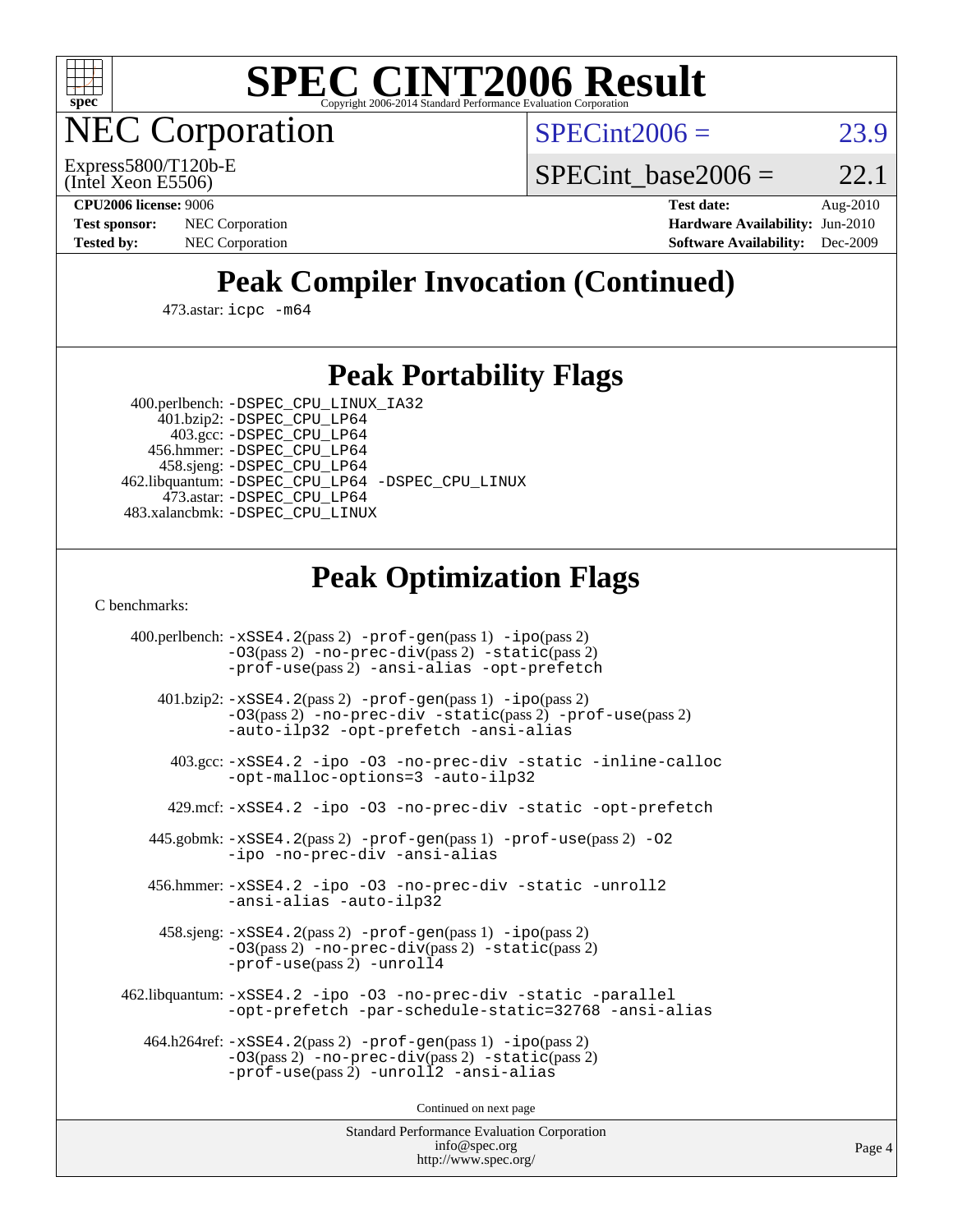

**EC Corporation** 

 $SPECint2006 = 23.9$  $SPECint2006 = 23.9$ 

(Intel Xeon E5506) Express5800/T120b-E SPECint base2006 =  $22.1$ 

**[CPU2006 license:](http://www.spec.org/auto/cpu2006/Docs/result-fields.html#CPU2006license)** 9006 **[Test date:](http://www.spec.org/auto/cpu2006/Docs/result-fields.html#Testdate)** Aug-2010 **[Test sponsor:](http://www.spec.org/auto/cpu2006/Docs/result-fields.html#Testsponsor)** NEC Corporation **[Hardware Availability:](http://www.spec.org/auto/cpu2006/Docs/result-fields.html#HardwareAvailability)** Jun-2010 **[Tested by:](http://www.spec.org/auto/cpu2006/Docs/result-fields.html#Testedby)** NEC Corporation **[Software Availability:](http://www.spec.org/auto/cpu2006/Docs/result-fields.html#SoftwareAvailability)** Dec-2009

### **[Peak Compiler Invocation \(Continued\)](http://www.spec.org/auto/cpu2006/Docs/result-fields.html#PeakCompilerInvocation)**

473.astar: [icpc -m64](http://www.spec.org/cpu2006/results/res2010q3/cpu2006-20100829-13104.flags.html#user_peakCXXLD473_astar_intel_icpc_64bit_fc66a5337ce925472a5c54ad6a0de310)

#### **[Peak Portability Flags](http://www.spec.org/auto/cpu2006/Docs/result-fields.html#PeakPortabilityFlags)**

 400.perlbench: [-DSPEC\\_CPU\\_LINUX\\_IA32](http://www.spec.org/cpu2006/results/res2010q3/cpu2006-20100829-13104.flags.html#b400.perlbench_peakCPORTABILITY_DSPEC_CPU_LINUX_IA32) 401.bzip2: [-DSPEC\\_CPU\\_LP64](http://www.spec.org/cpu2006/results/res2010q3/cpu2006-20100829-13104.flags.html#suite_peakPORTABILITY401_bzip2_DSPEC_CPU_LP64)

 403.gcc: [-DSPEC\\_CPU\\_LP64](http://www.spec.org/cpu2006/results/res2010q3/cpu2006-20100829-13104.flags.html#suite_peakPORTABILITY403_gcc_DSPEC_CPU_LP64) 456.hmmer: [-DSPEC\\_CPU\\_LP64](http://www.spec.org/cpu2006/results/res2010q3/cpu2006-20100829-13104.flags.html#suite_peakPORTABILITY456_hmmer_DSPEC_CPU_LP64) 458.sjeng: [-DSPEC\\_CPU\\_LP64](http://www.spec.org/cpu2006/results/res2010q3/cpu2006-20100829-13104.flags.html#suite_peakPORTABILITY458_sjeng_DSPEC_CPU_LP64) 462.libquantum: [-DSPEC\\_CPU\\_LP64](http://www.spec.org/cpu2006/results/res2010q3/cpu2006-20100829-13104.flags.html#suite_peakPORTABILITY462_libquantum_DSPEC_CPU_LP64) [-DSPEC\\_CPU\\_LINUX](http://www.spec.org/cpu2006/results/res2010q3/cpu2006-20100829-13104.flags.html#b462.libquantum_peakCPORTABILITY_DSPEC_CPU_LINUX) 473.astar: [-DSPEC\\_CPU\\_LP64](http://www.spec.org/cpu2006/results/res2010q3/cpu2006-20100829-13104.flags.html#suite_peakPORTABILITY473_astar_DSPEC_CPU_LP64) 483.xalancbmk: [-DSPEC\\_CPU\\_LINUX](http://www.spec.org/cpu2006/results/res2010q3/cpu2006-20100829-13104.flags.html#b483.xalancbmk_peakCXXPORTABILITY_DSPEC_CPU_LINUX)

### **[Peak Optimization Flags](http://www.spec.org/auto/cpu2006/Docs/result-fields.html#PeakOptimizationFlags)**

[C benchmarks](http://www.spec.org/auto/cpu2006/Docs/result-fields.html#Cbenchmarks):

 400.perlbench: [-xSSE4.2](http://www.spec.org/cpu2006/results/res2010q3/cpu2006-20100829-13104.flags.html#user_peakPASS2_CFLAGSPASS2_LDCFLAGS400_perlbench_f-xSSE42_f91528193cf0b216347adb8b939d4107)(pass 2) [-prof-gen](http://www.spec.org/cpu2006/results/res2010q3/cpu2006-20100829-13104.flags.html#user_peakPASS1_CFLAGSPASS1_LDCFLAGS400_perlbench_prof_gen_e43856698f6ca7b7e442dfd80e94a8fc)(pass 1) [-ipo](http://www.spec.org/cpu2006/results/res2010q3/cpu2006-20100829-13104.flags.html#user_peakPASS2_CFLAGSPASS2_LDCFLAGS400_perlbench_f-ipo)(pass 2) [-O3](http://www.spec.org/cpu2006/results/res2010q3/cpu2006-20100829-13104.flags.html#user_peakPASS2_CFLAGSPASS2_LDCFLAGS400_perlbench_f-O3)(pass 2) [-no-prec-div](http://www.spec.org/cpu2006/results/res2010q3/cpu2006-20100829-13104.flags.html#user_peakPASS2_CFLAGSPASS2_LDCFLAGS400_perlbench_f-no-prec-div)(pass 2) [-static](http://www.spec.org/cpu2006/results/res2010q3/cpu2006-20100829-13104.flags.html#user_peakPASS2_CFLAGSPASS2_LDCFLAGS400_perlbench_f-static)(pass 2) [-prof-use](http://www.spec.org/cpu2006/results/res2010q3/cpu2006-20100829-13104.flags.html#user_peakPASS2_CFLAGSPASS2_LDCFLAGS400_perlbench_prof_use_bccf7792157ff70d64e32fe3e1250b55)(pass 2) [-ansi-alias](http://www.spec.org/cpu2006/results/res2010q3/cpu2006-20100829-13104.flags.html#user_peakCOPTIMIZE400_perlbench_f-ansi-alias) [-opt-prefetch](http://www.spec.org/cpu2006/results/res2010q3/cpu2006-20100829-13104.flags.html#user_peakCOPTIMIZE400_perlbench_f-opt-prefetch) 401.bzip2: [-xSSE4.2](http://www.spec.org/cpu2006/results/res2010q3/cpu2006-20100829-13104.flags.html#user_peakPASS2_CFLAGSPASS2_LDCFLAGS401_bzip2_f-xSSE42_f91528193cf0b216347adb8b939d4107)(pass 2) [-prof-gen](http://www.spec.org/cpu2006/results/res2010q3/cpu2006-20100829-13104.flags.html#user_peakPASS1_CFLAGSPASS1_LDCFLAGS401_bzip2_prof_gen_e43856698f6ca7b7e442dfd80e94a8fc)(pass 1) [-ipo](http://www.spec.org/cpu2006/results/res2010q3/cpu2006-20100829-13104.flags.html#user_peakPASS2_CFLAGSPASS2_LDCFLAGS401_bzip2_f-ipo)(pass 2) [-O3](http://www.spec.org/cpu2006/results/res2010q3/cpu2006-20100829-13104.flags.html#user_peakPASS2_CFLAGSPASS2_LDCFLAGS401_bzip2_f-O3)(pass 2) [-no-prec-div](http://www.spec.org/cpu2006/results/res2010q3/cpu2006-20100829-13104.flags.html#user_peakCOPTIMIZEPASS2_CFLAGSPASS2_LDCFLAGS401_bzip2_f-no-prec-div) [-static](http://www.spec.org/cpu2006/results/res2010q3/cpu2006-20100829-13104.flags.html#user_peakPASS2_CFLAGSPASS2_LDCFLAGS401_bzip2_f-static)(pass 2) [-prof-use](http://www.spec.org/cpu2006/results/res2010q3/cpu2006-20100829-13104.flags.html#user_peakPASS2_CFLAGSPASS2_LDCFLAGS401_bzip2_prof_use_bccf7792157ff70d64e32fe3e1250b55)(pass 2) [-auto-ilp32](http://www.spec.org/cpu2006/results/res2010q3/cpu2006-20100829-13104.flags.html#user_peakCOPTIMIZE401_bzip2_f-auto-ilp32) [-opt-prefetch](http://www.spec.org/cpu2006/results/res2010q3/cpu2006-20100829-13104.flags.html#user_peakCOPTIMIZE401_bzip2_f-opt-prefetch) [-ansi-alias](http://www.spec.org/cpu2006/results/res2010q3/cpu2006-20100829-13104.flags.html#user_peakCOPTIMIZE401_bzip2_f-ansi-alias) 403.gcc: [-xSSE4.2](http://www.spec.org/cpu2006/results/res2010q3/cpu2006-20100829-13104.flags.html#user_peakCOPTIMIZE403_gcc_f-xSSE42_f91528193cf0b216347adb8b939d4107) [-ipo](http://www.spec.org/cpu2006/results/res2010q3/cpu2006-20100829-13104.flags.html#user_peakCOPTIMIZE403_gcc_f-ipo) [-O3](http://www.spec.org/cpu2006/results/res2010q3/cpu2006-20100829-13104.flags.html#user_peakCOPTIMIZE403_gcc_f-O3) [-no-prec-div](http://www.spec.org/cpu2006/results/res2010q3/cpu2006-20100829-13104.flags.html#user_peakCOPTIMIZE403_gcc_f-no-prec-div) [-static](http://www.spec.org/cpu2006/results/res2010q3/cpu2006-20100829-13104.flags.html#user_peakCOPTIMIZE403_gcc_f-static) [-inline-calloc](http://www.spec.org/cpu2006/results/res2010q3/cpu2006-20100829-13104.flags.html#user_peakCOPTIMIZE403_gcc_f-inline-calloc) [-opt-malloc-options=3](http://www.spec.org/cpu2006/results/res2010q3/cpu2006-20100829-13104.flags.html#user_peakCOPTIMIZE403_gcc_f-opt-malloc-options_13ab9b803cf986b4ee62f0a5998c2238) [-auto-ilp32](http://www.spec.org/cpu2006/results/res2010q3/cpu2006-20100829-13104.flags.html#user_peakCOPTIMIZE403_gcc_f-auto-ilp32) 429.mcf: [-xSSE4.2](http://www.spec.org/cpu2006/results/res2010q3/cpu2006-20100829-13104.flags.html#user_peakCOPTIMIZE429_mcf_f-xSSE42_f91528193cf0b216347adb8b939d4107) [-ipo](http://www.spec.org/cpu2006/results/res2010q3/cpu2006-20100829-13104.flags.html#user_peakCOPTIMIZE429_mcf_f-ipo) [-O3](http://www.spec.org/cpu2006/results/res2010q3/cpu2006-20100829-13104.flags.html#user_peakCOPTIMIZE429_mcf_f-O3) [-no-prec-div](http://www.spec.org/cpu2006/results/res2010q3/cpu2006-20100829-13104.flags.html#user_peakCOPTIMIZE429_mcf_f-no-prec-div) [-static](http://www.spec.org/cpu2006/results/res2010q3/cpu2006-20100829-13104.flags.html#user_peakCOPTIMIZE429_mcf_f-static) [-opt-prefetch](http://www.spec.org/cpu2006/results/res2010q3/cpu2006-20100829-13104.flags.html#user_peakCOPTIMIZE429_mcf_f-opt-prefetch) 445.gobmk: [-xSSE4.2](http://www.spec.org/cpu2006/results/res2010q3/cpu2006-20100829-13104.flags.html#user_peakPASS2_CFLAGSPASS2_LDCFLAGS445_gobmk_f-xSSE42_f91528193cf0b216347adb8b939d4107)(pass 2) [-prof-gen](http://www.spec.org/cpu2006/results/res2010q3/cpu2006-20100829-13104.flags.html#user_peakPASS1_CFLAGSPASS1_LDCFLAGS445_gobmk_prof_gen_e43856698f6ca7b7e442dfd80e94a8fc)(pass 1) [-prof-use](http://www.spec.org/cpu2006/results/res2010q3/cpu2006-20100829-13104.flags.html#user_peakPASS2_CFLAGSPASS2_LDCFLAGS445_gobmk_prof_use_bccf7792157ff70d64e32fe3e1250b55)(pass 2) [-O2](http://www.spec.org/cpu2006/results/res2010q3/cpu2006-20100829-13104.flags.html#user_peakCOPTIMIZE445_gobmk_f-O2) [-ipo](http://www.spec.org/cpu2006/results/res2010q3/cpu2006-20100829-13104.flags.html#user_peakCOPTIMIZE445_gobmk_f-ipo) [-no-prec-div](http://www.spec.org/cpu2006/results/res2010q3/cpu2006-20100829-13104.flags.html#user_peakCOPTIMIZE445_gobmk_f-no-prec-div) [-ansi-alias](http://www.spec.org/cpu2006/results/res2010q3/cpu2006-20100829-13104.flags.html#user_peakCOPTIMIZE445_gobmk_f-ansi-alias) 456.hmmer: [-xSSE4.2](http://www.spec.org/cpu2006/results/res2010q3/cpu2006-20100829-13104.flags.html#user_peakCOPTIMIZE456_hmmer_f-xSSE42_f91528193cf0b216347adb8b939d4107) [-ipo](http://www.spec.org/cpu2006/results/res2010q3/cpu2006-20100829-13104.flags.html#user_peakCOPTIMIZE456_hmmer_f-ipo) [-O3](http://www.spec.org/cpu2006/results/res2010q3/cpu2006-20100829-13104.flags.html#user_peakCOPTIMIZE456_hmmer_f-O3) [-no-prec-div](http://www.spec.org/cpu2006/results/res2010q3/cpu2006-20100829-13104.flags.html#user_peakCOPTIMIZE456_hmmer_f-no-prec-div) [-static](http://www.spec.org/cpu2006/results/res2010q3/cpu2006-20100829-13104.flags.html#user_peakCOPTIMIZE456_hmmer_f-static) [-unroll2](http://www.spec.org/cpu2006/results/res2010q3/cpu2006-20100829-13104.flags.html#user_peakCOPTIMIZE456_hmmer_f-unroll_784dae83bebfb236979b41d2422d7ec2) [-ansi-alias](http://www.spec.org/cpu2006/results/res2010q3/cpu2006-20100829-13104.flags.html#user_peakCOPTIMIZE456_hmmer_f-ansi-alias) [-auto-ilp32](http://www.spec.org/cpu2006/results/res2010q3/cpu2006-20100829-13104.flags.html#user_peakCOPTIMIZE456_hmmer_f-auto-ilp32) 458.sjeng: [-xSSE4.2](http://www.spec.org/cpu2006/results/res2010q3/cpu2006-20100829-13104.flags.html#user_peakPASS2_CFLAGSPASS2_LDCFLAGS458_sjeng_f-xSSE42_f91528193cf0b216347adb8b939d4107)(pass 2) [-prof-gen](http://www.spec.org/cpu2006/results/res2010q3/cpu2006-20100829-13104.flags.html#user_peakPASS1_CFLAGSPASS1_LDCFLAGS458_sjeng_prof_gen_e43856698f6ca7b7e442dfd80e94a8fc)(pass 1) [-ipo](http://www.spec.org/cpu2006/results/res2010q3/cpu2006-20100829-13104.flags.html#user_peakPASS2_CFLAGSPASS2_LDCFLAGS458_sjeng_f-ipo)(pass 2) [-O3](http://www.spec.org/cpu2006/results/res2010q3/cpu2006-20100829-13104.flags.html#user_peakPASS2_CFLAGSPASS2_LDCFLAGS458_sjeng_f-O3)(pass 2) [-no-prec-div](http://www.spec.org/cpu2006/results/res2010q3/cpu2006-20100829-13104.flags.html#user_peakPASS2_CFLAGSPASS2_LDCFLAGS458_sjeng_f-no-prec-div)(pass 2) [-static](http://www.spec.org/cpu2006/results/res2010q3/cpu2006-20100829-13104.flags.html#user_peakPASS2_CFLAGSPASS2_LDCFLAGS458_sjeng_f-static)(pass 2) [-prof-use](http://www.spec.org/cpu2006/results/res2010q3/cpu2006-20100829-13104.flags.html#user_peakPASS2_CFLAGSPASS2_LDCFLAGS458_sjeng_prof_use_bccf7792157ff70d64e32fe3e1250b55)(pass 2) [-unroll4](http://www.spec.org/cpu2006/results/res2010q3/cpu2006-20100829-13104.flags.html#user_peakCOPTIMIZE458_sjeng_f-unroll_4e5e4ed65b7fd20bdcd365bec371b81f) 462.libquantum: [-xSSE4.2](http://www.spec.org/cpu2006/results/res2010q3/cpu2006-20100829-13104.flags.html#user_peakCOPTIMIZE462_libquantum_f-xSSE42_f91528193cf0b216347adb8b939d4107) [-ipo](http://www.spec.org/cpu2006/results/res2010q3/cpu2006-20100829-13104.flags.html#user_peakCOPTIMIZE462_libquantum_f-ipo) [-O3](http://www.spec.org/cpu2006/results/res2010q3/cpu2006-20100829-13104.flags.html#user_peakCOPTIMIZE462_libquantum_f-O3) [-no-prec-div](http://www.spec.org/cpu2006/results/res2010q3/cpu2006-20100829-13104.flags.html#user_peakCOPTIMIZE462_libquantum_f-no-prec-div) [-static](http://www.spec.org/cpu2006/results/res2010q3/cpu2006-20100829-13104.flags.html#user_peakCOPTIMIZE462_libquantum_f-static) [-parallel](http://www.spec.org/cpu2006/results/res2010q3/cpu2006-20100829-13104.flags.html#user_peakCOPTIMIZE462_libquantum_f-parallel) [-opt-prefetch](http://www.spec.org/cpu2006/results/res2010q3/cpu2006-20100829-13104.flags.html#user_peakCOPTIMIZE462_libquantum_f-opt-prefetch) [-par-schedule-static=32768](http://www.spec.org/cpu2006/results/res2010q3/cpu2006-20100829-13104.flags.html#user_peakCOPTIMIZE462_libquantum_f-par-schedule_9386bcd99ba64e99ee01d1aafefddd14) [-ansi-alias](http://www.spec.org/cpu2006/results/res2010q3/cpu2006-20100829-13104.flags.html#user_peakCOPTIMIZE462_libquantum_f-ansi-alias) 464.h264ref: [-xSSE4.2](http://www.spec.org/cpu2006/results/res2010q3/cpu2006-20100829-13104.flags.html#user_peakPASS2_CFLAGSPASS2_LDCFLAGS464_h264ref_f-xSSE42_f91528193cf0b216347adb8b939d4107)(pass 2) [-prof-gen](http://www.spec.org/cpu2006/results/res2010q3/cpu2006-20100829-13104.flags.html#user_peakPASS1_CFLAGSPASS1_LDCFLAGS464_h264ref_prof_gen_e43856698f6ca7b7e442dfd80e94a8fc)(pass 1) [-ipo](http://www.spec.org/cpu2006/results/res2010q3/cpu2006-20100829-13104.flags.html#user_peakPASS2_CFLAGSPASS2_LDCFLAGS464_h264ref_f-ipo)(pass 2) [-O3](http://www.spec.org/cpu2006/results/res2010q3/cpu2006-20100829-13104.flags.html#user_peakPASS2_CFLAGSPASS2_LDCFLAGS464_h264ref_f-O3)(pass 2) [-no-prec-div](http://www.spec.org/cpu2006/results/res2010q3/cpu2006-20100829-13104.flags.html#user_peakPASS2_CFLAGSPASS2_LDCFLAGS464_h264ref_f-no-prec-div)(pass 2) [-static](http://www.spec.org/cpu2006/results/res2010q3/cpu2006-20100829-13104.flags.html#user_peakPASS2_CFLAGSPASS2_LDCFLAGS464_h264ref_f-static)(pass 2) [-prof-use](http://www.spec.org/cpu2006/results/res2010q3/cpu2006-20100829-13104.flags.html#user_peakPASS2_CFLAGSPASS2_LDCFLAGS464_h264ref_prof_use_bccf7792157ff70d64e32fe3e1250b55)(pass 2) [-unroll2](http://www.spec.org/cpu2006/results/res2010q3/cpu2006-20100829-13104.flags.html#user_peakCOPTIMIZE464_h264ref_f-unroll_784dae83bebfb236979b41d2422d7ec2) [-ansi-alias](http://www.spec.org/cpu2006/results/res2010q3/cpu2006-20100829-13104.flags.html#user_peakCOPTIMIZE464_h264ref_f-ansi-alias)

Continued on next page